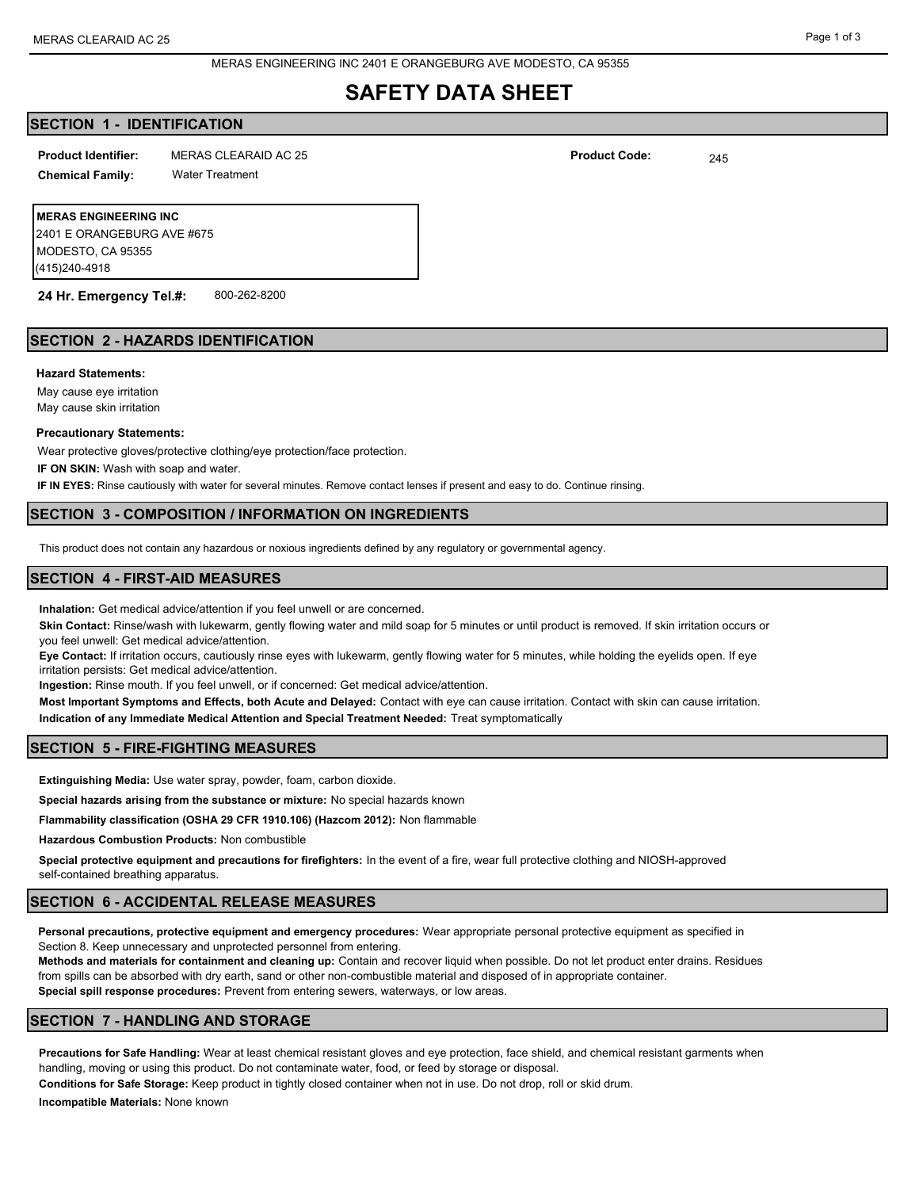# **SAFETY DATA SHEET**

## **SECTION 1 - IDENTIFICATION**

MERAS CLEARAID AC 25 245 **Product Identifier: Product Code:**

**Chemical Family:** Water Treatment

**MERAS ENGINEERING INC** 2401 E ORANGEBURG AVE #675 MODESTO, CA 95355 (415)240-4918

**24 Hr. Emergency Tel.#:** 800-262-8200

## **SECTION 2 - HAZARDS IDENTIFICATION**

### **Hazard Statements:**

May cause eye irritation May cause skin irritation

### **Precautionary Statements:**

Wear protective gloves/protective clothing/eye protection/face protection.

**IF ON SKIN:** Wash with soap and water.

**IF IN EYES:** Rinse cautiously with water for several minutes. Remove contact lenses if present and easy to do. Continue rinsing.

## **SECTION 3 - COMPOSITION / INFORMATION ON INGREDIENTS**

This product does not contain any hazardous or noxious ingredients defined by any regulatory or governmental agency.

## **SECTION 4 - FIRST-AID MEASURES**

**Inhalation:** Get medical advice/attention if you feel unwell or are concerned.

**Skin Contact:** Rinse/wash with lukewarm, gently flowing water and mild soap for 5 minutes or until product is removed. If skin irritation occurs or you feel unwell: Get medical advice/attention.

**Eye Contact:** If irritation occurs, cautiously rinse eyes with lukewarm, gently flowing water for 5 minutes, while holding the eyelids open. If eye irritation persists: Get medical advice/attention.

**Ingestion:** Rinse mouth. If you feel unwell, or if concerned: Get medical advice/attention.

**Most Important Symptoms and Effects, both Acute and Delayed:** Contact with eye can cause irritation. Contact with skin can cause irritation. **Indication of any Immediate Medical Attention and Special Treatment Needed:** Treat symptomatically

## **SECTION 5 - FIRE-FIGHTING MEASURES**

**Extinguishing Media:** Use water spray, powder, foam, carbon dioxide.

**Special hazards arising from the substance or mixture:** No special hazards known

**Flammability classification (OSHA 29 CFR 1910.106) (Hazcom 2012):** Non flammable

**Hazardous Combustion Products:** Non combustible

**Special protective equipment and precautions for firefighters:** In the event of a fire, wear full protective clothing and NIOSH-approved self-contained breathing apparatus.

### **SECTION 6 - ACCIDENTAL RELEASE MEASURES**

**Personal precautions, protective equipment and emergency procedures:** Wear appropriate personal protective equipment as specified in Section 8. Keep unnecessary and unprotected personnel from entering. **Methods and materials for containment and cleaning up:** Contain and recover liquid when possible. Do not let product enter drains. Residues

from spills can be absorbed with dry earth, sand or other non-combustible material and disposed of in appropriate container. **Special spill response procedures:** Prevent from entering sewers, waterways, or low areas.

## **SECTION 7 - HANDLING AND STORAGE**

**Precautions for Safe Handling:** Wear at least chemical resistant gloves and eye protection, face shield, and chemical resistant garments when handling, moving or using this product. Do not contaminate water, food, or feed by storage or disposal. **Conditions for Safe Storage:** Keep product in tightly closed container when not in use. Do not drop, roll or skid drum.

**Incompatible Materials:** None known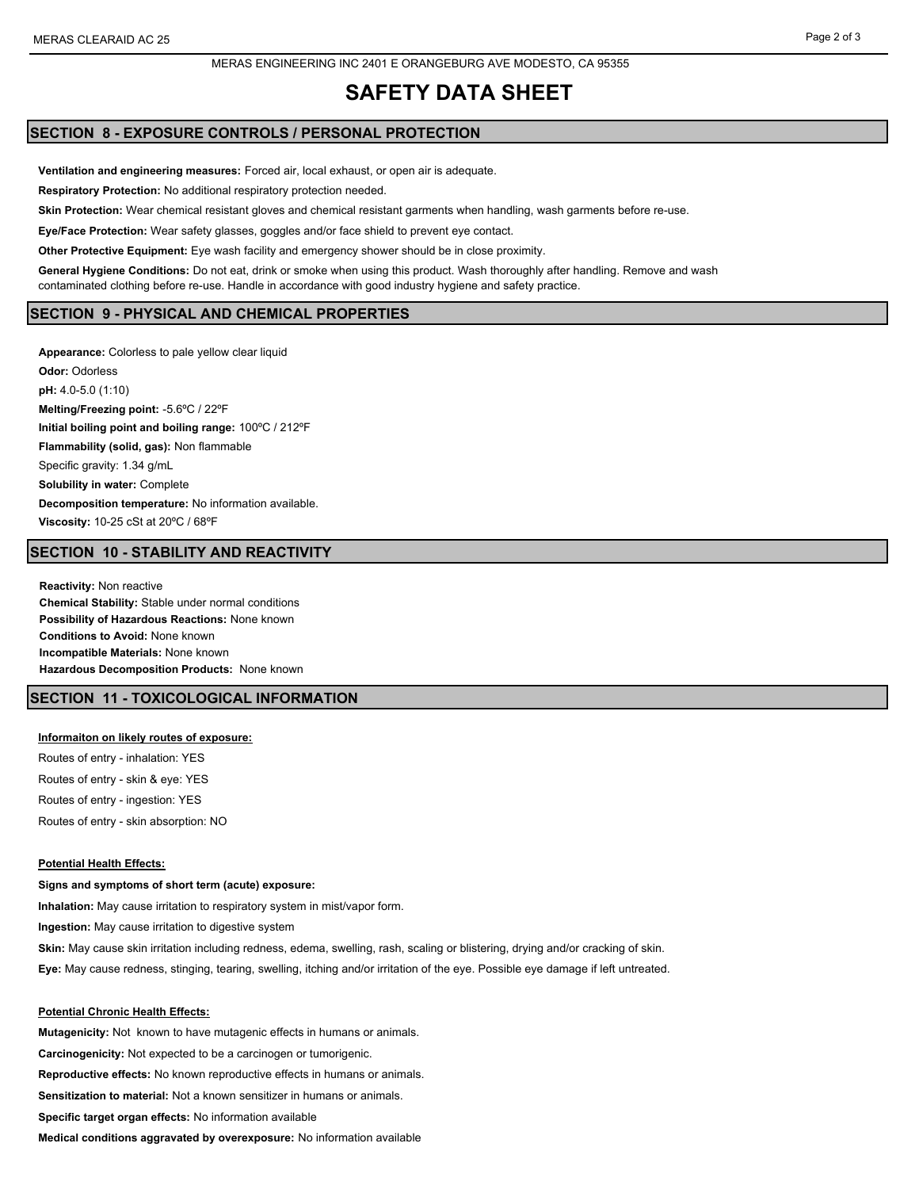# **SAFETY DATA SHEET**

## **SECTION 8 - EXPOSURE CONTROLS / PERSONAL PROTECTION**

**Ventilation and engineering measures:** Forced air, local exhaust, or open air is adequate.

**Respiratory Protection:** No additional respiratory protection needed.

**Skin Protection:** Wear chemical resistant gloves and chemical resistant garments when handling, wash garments before re-use.

**Eye/Face Protection:** Wear safety glasses, goggles and/or face shield to prevent eye contact.

**Other Protective Equipment:** Eye wash facility and emergency shower should be in close proximity.

**General Hygiene Conditions:** Do not eat, drink or smoke when using this product. Wash thoroughly after handling. Remove and wash contaminated clothing before re-use. Handle in accordance with good industry hygiene and safety practice.

## **SECTION 9 - PHYSICAL AND CHEMICAL PROPERTIES**

**Appearance:** Colorless to pale yellow clear liquid **Odor:** Odorless **pH:** 4.0-5.0 (1:10) **Melting/Freezing point:** -5.6ºC / 22ºF **Initial boiling point and boiling range:** 100ºC / 212ºF **Flammability (solid, gas):** Non flammable Specific gravity: 1.34 g/mL **Solubility in water:** Complete **Decomposition temperature:** No information available. **Viscosity:** 10-25 cSt at 20ºC / 68ºF

## **SECTION 10 - STABILITY AND REACTIVITY**

**Reactivity:** Non reactive **Chemical Stability:** Stable under normal conditions **Possibility of Hazardous Reactions:** None known **Conditions to Avoid:** None known **Incompatible Materials:** None known **Hazardous Decomposition Products:** None known

## **SECTION 11 - TOXICOLOGICAL INFORMATION**

#### **Informaiton on likely routes of exposure:**

Routes of entry - inhalation: YES Routes of entry - skin & eye: YES Routes of entry - ingestion: YES Routes of entry - skin absorption: NO

## **Potential Health Effects:**

**Signs and symptoms of short term (acute) exposure: Inhalation:** May cause irritation to respiratory system in mist/vapor form. **Ingestion:** May cause irritation to digestive system **Skin:** May cause skin irritation including redness, edema, swelling, rash, scaling or blistering, drying and/or cracking of skin. **Eye:** May cause redness, stinging, tearing, swelling, itching and/or irritation of the eye. Possible eye damage if left untreated.

# **Potential Chronic Health Effects:**

**Mutagenicity:** Not known to have mutagenic effects in humans or animals. **Carcinogenicity:** Not expected to be a carcinogen or tumorigenic. **Reproductive effects:** No known reproductive effects in humans or animals. **Sensitization to material:** Not a known sensitizer in humans or animals. **Specific target organ effects:** No information available **Medical conditions aggravated by overexposure:** No information available